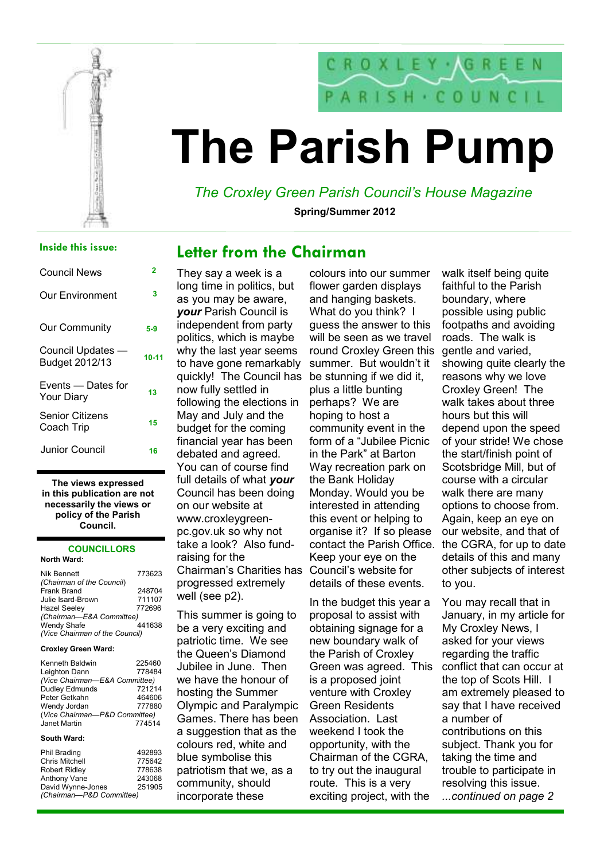

# The Parish Pump

### The Croxley Green Parish Council's House Magazine

Spring/Summer 2012

### Inside this issue:

| Council News                         | 2     |
|--------------------------------------|-------|
| Our Environment                      | 3     |
| <b>Our Community</b>                 | 5-9   |
| Council Updates -<br>Budget 2012/13  | 10-11 |
| Events — Dates for<br>Your Diary     | 13    |
| <b>Senior Citizens</b><br>Coach Trip | 15    |
| Junior Council                       | 16    |

The views expressed in this publication are not necessarily the views or policy of the Parish Council.

### **COUNCILLORS**

#### North Ward:

| Nik Bennett                    | 773623 |
|--------------------------------|--------|
| (Chairman of the Council)      |        |
| Frank Brand                    | 248704 |
| Julie Isard-Brown              | 711107 |
| <b>Hazel Seeley</b>            | 772696 |
| (Chairman-E&A Committee)       |        |
| Wendy Shafe                    | 441638 |
| (Vice Chairman of the Council) |        |

#### Croxley Green Ward:

| Kenneth Baldwin               | 225460 |
|-------------------------------|--------|
| Leighton Dann                 | 778484 |
| (Vice Chairman-E&A Committee) |        |
| Dudley Edmunds                | 721214 |
| Peter Getkahn                 | 464606 |
| Wendy Jordan                  | 777880 |
| (Vice Chairman-P&D Committee) |        |
| Janet Martin                  | 774514 |
|                               |        |

#### South Ward:

| Phil Brading             | 492893 |
|--------------------------|--------|
| Chris Mitchell           | 775642 |
| Robert Ridley            | 778638 |
| Anthony Vane             | 243068 |
| David Wynne-Jones        | 251905 |
| (Chairman-P&D Committee) |        |
|                          |        |

### They say a week is a long time in politics, but as you may be aware, your Parish Council is independent from party politics, which is maybe why the last year seems to have gone remarkably quickly! The Council has now fully settled in following the elections in May and July and the budget for the coming financial year has been debated and agreed. You can of course find full details of what your Council has been doing on our website at www.croxleygreenpc.gov.uk so why not take a look? Also fundraising for the Chairman's Charities has progressed extremely well (see p2).

This summer is going to be a very exciting and patriotic time. We see the Queen's Diamond Jubilee in June. Then we have the honour of hosting the Summer Olympic and Paralympic Games. There has been a suggestion that as the colours red, white and blue symbolise this patriotism that we, as a community, should incorporate these

colours into our summer flower garden displays and hanging baskets. What do you think? I guess the answer to this will be seen as we travel round Croxley Green this summer. But wouldn't it be stunning if we did it, plus a little bunting perhaps? We are hoping to host a community event in the form of a "Jubilee Picnic in the Park" at Barton Way recreation park on the Bank Holiday Monday. Would you be interested in attending this event or helping to organise it? If so please contact the Parish Office. Keep your eye on the Council's website for details of these events.

In the budget this year a proposal to assist with obtaining signage for a new boundary walk of the Parish of Croxley Green was agreed. This is a proposed joint venture with Croxley Green Residents Association. Last weekend I took the opportunity, with the Chairman of the CGRA, to try out the inaugural route. This is a very exciting project, with the

walk itself being quite faithful to the Parish boundary, where possible using public footpaths and avoiding roads. The walk is gentle and varied, showing quite clearly the reasons why we love Croxley Green! The walk takes about three hours but this will depend upon the speed of your stride! We chose the start/finish point of Scotsbridge Mill, but of course with a circular walk there are many options to choose from. Again, keep an eye on our website, and that of the CGRA, for up to date details of this and many other subjects of interest to you.

You may recall that in January, in my article for My Croxley News, I asked for your views regarding the traffic conflict that can occur at the top of Scots Hill. I am extremely pleased to say that I have received a number of contributions on this subject. Thank you for taking the time and trouble to participate in resolving this issue. ...continued on page 2

### Letter from the Chairman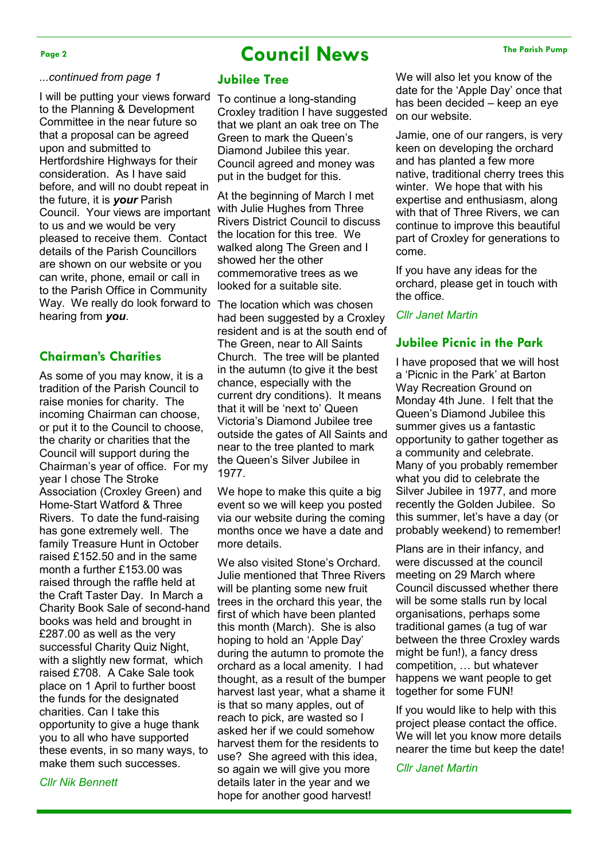### Page 2 The Parish Pump Council News The Parish Pump

#### ...continued from page 1

I will be putting your views forward to the Planning & Development Committee in the near future so that a proposal can be agreed upon and submitted to Hertfordshire Highways for their consideration. As I have said before, and will no doubt repeat in the future, it is **your** Parish Council. Your views are important to us and we would be very pleased to receive them. Contact details of the Parish Councillors are shown on our website or you can write, phone, email or call in to the Parish Office in Community Way. We really do look forward to hearing from you.

### Chairman's Charities

As some of you may know, it is a tradition of the Parish Council to raise monies for charity. The incoming Chairman can choose, or put it to the Council to choose, the charity or charities that the Council will support during the Chairman's year of office. For my year I chose The Stroke Association (Croxley Green) and Home-Start Watford & Three Rivers. To date the fund-raising has gone extremely well. The family Treasure Hunt in October raised £152.50 and in the same month a further £153.00 was raised through the raffle held at the Craft Taster Day. In March a Charity Book Sale of second-hand books was held and brought in £287.00 as well as the very successful Charity Quiz Night, with a slightly new format, which raised £708. A Cake Sale took place on 1 April to further boost the funds for the designated charities. Can I take this opportunity to give a huge thank you to all who have supported these events, in so many ways, to make them such successes.

Cllr Nik Bennett

#### Jubilee Tree

To continue a long-standing Croxley tradition I have suggested that we plant an oak tree on The Green to mark the Queen's Diamond Jubilee this year. Council agreed and money was put in the budget for this.

At the beginning of March I met with Julie Hughes from Three Rivers District Council to discuss the location for this tree. We walked along The Green and I showed her the other commemorative trees as we looked for a suitable site.

The location which was chosen had been suggested by a Croxley resident and is at the south end of The Green, near to All Saints Church. The tree will be planted in the autumn (to give it the best chance, especially with the current dry conditions). It means that it will be 'next to' Queen Victoria's Diamond Jubilee tree outside the gates of All Saints and near to the tree planted to mark the Queen's Silver Jubilee in 1977.

We hope to make this quite a big event so we will keep you posted via our website during the coming months once we have a date and more details.

We also visited Stone's Orchard. Julie mentioned that Three Rivers will be planting some new fruit trees in the orchard this year, the first of which have been planted this month (March). She is also hoping to hold an 'Apple Day' during the autumn to promote the orchard as a local amenity. I had thought, as a result of the bumper harvest last year, what a shame it is that so many apples, out of reach to pick, are wasted so I asked her if we could somehow harvest them for the residents to use? She agreed with this idea, so again we will give you more details later in the year and we hope for another good harvest!

We will also let you know of the date for the 'Apple Day' once that has been decided – keep an eye on our website.

Jamie, one of our rangers, is very keen on developing the orchard and has planted a few more native, traditional cherry trees this winter. We hope that with his expertise and enthusiasm, along with that of Three Rivers, we can continue to improve this beautiful part of Croxley for generations to come.

If you have any ideas for the orchard, please get in touch with the office.

#### Cllr Janet Martin

### Jubilee Picnic in the Park

I have proposed that we will host a 'Picnic in the Park' at Barton Way Recreation Ground on Monday 4th June. I felt that the Queen's Diamond Jubilee this summer gives us a fantastic opportunity to gather together as a community and celebrate. Many of you probably remember what you did to celebrate the Silver Jubilee in 1977, and more recently the Golden Jubilee. So this summer, let's have a day (or probably weekend) to remember!

Plans are in their infancy, and were discussed at the council meeting on 29 March where Council discussed whether there will be some stalls run by local organisations, perhaps some traditional games (a tug of war between the three Croxley wards might be fun!), a fancy dress competition, … but whatever happens we want people to get together for some FUN!

If you would like to help with this project please contact the office. We will let you know more details nearer the time but keep the date!

Cllr Janet Martin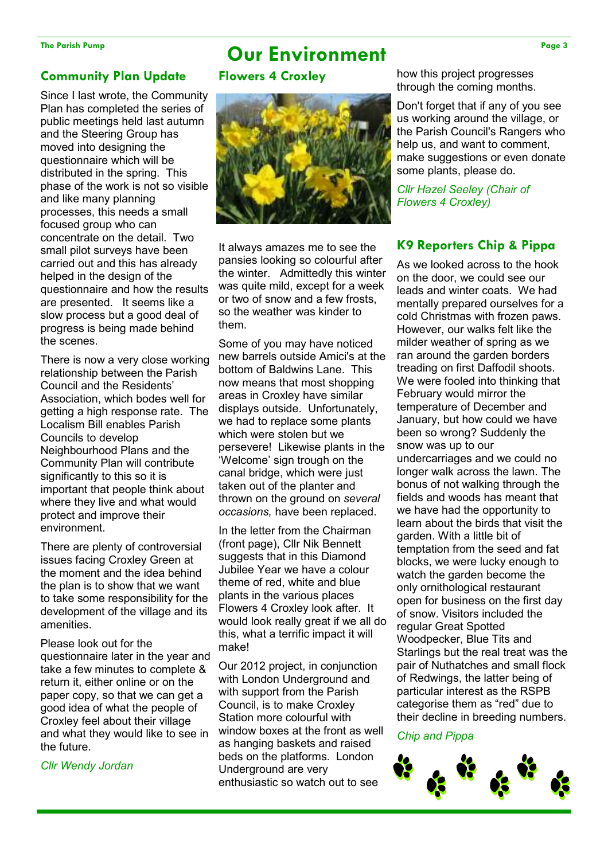### The Parish Pump Page 3

### Community Plan Update

Since I last wrote, the Community Plan has completed the series of public meetings held last autumn and the Steering Group has moved into designing the questionnaire which will be distributed in the spring. This phase of the work is not so visible and like many planning processes, this needs a small focused group who can concentrate on the detail. Two small pilot surveys have been carried out and this has already helped in the design of the questionnaire and how the results are presented. It seems like a slow process but a good deal of progress is being made behind the scenes.

There is now a very close working relationship between the Parish Council and the Residents' Association, which bodes well for getting a high response rate. The Localism Bill enables Parish Councils to develop Neighbourhood Plans and the Community Plan will contribute significantly to this so it is important that people think about where they live and what would protect and improve their environment.

There are plenty of controversial issues facing Croxley Green at the moment and the idea behind the plan is to show that we want to take some responsibility for the development of the village and its amenities.

Please look out for the questionnaire later in the year and take a few minutes to complete & return it, either online or on the paper copy, so that we can get a good idea of what the people of Croxley feel about their village and what they would like to see in the future.

Cllr Wendy Jordan

### Flowers 4 Croxley



It always amazes me to see the pansies looking so colourful after the winter. Admittedly this winter was quite mild, except for a week or two of snow and a few frosts, so the weather was kinder to them.

Some of you may have noticed new barrels outside Amici's at the bottom of Baldwins Lane. This now means that most shopping areas in Croxley have similar displays outside. Unfortunately, we had to replace some plants which were stolen but we persevere! Likewise plants in the 'Welcome' sign trough on the canal bridge, which were just taken out of the planter and thrown on the ground on several occasions, have been replaced.

In the letter from the Chairman (front page), Cllr Nik Bennett suggests that in this Diamond Jubilee Year we have a colour theme of red, white and blue plants in the various places Flowers 4 Croxley look after. It would look really great if we all do this, what a terrific impact it will make!

Our 2012 project, in conjunction with London Underground and with support from the Parish Council, is to make Croxley Station more colourful with window boxes at the front as well as hanging baskets and raised beds on the platforms. London Underground are very enthusiastic so watch out to see

how this project progresses through the coming months.

Don't forget that if any of you see us working around the village, or the Parish Council's Rangers who help us, and want to comment, make suggestions or even donate some plants, please do.

Cllr Hazel Seeley (Chair of Flowers 4 Croxley)

### K9 Reporters Chip & Pippa

As we looked across to the hook on the door, we could see our leads and winter coats. We had mentally prepared ourselves for a cold Christmas with frozen paws. However, our walks felt like the milder weather of spring as we ran around the garden borders treading on first Daffodil shoots. We were fooled into thinking that February would mirror the temperature of December and January, but how could we have been so wrong? Suddenly the snow was up to our undercarriages and we could no longer walk across the lawn. The bonus of not walking through the fields and woods has meant that we have had the opportunity to learn about the birds that visit the garden. With a little bit of temptation from the seed and fat blocks, we were lucky enough to watch the garden become the only ornithological restaurant open for business on the first day of snow. Visitors included the regular Great Spotted Woodpecker, Blue Tits and Starlings but the real treat was the pair of Nuthatches and small flock of Redwings, the latter being of particular interest as the RSPB categorise them as "red" due to their decline in breeding numbers.

### Chip and Pippa

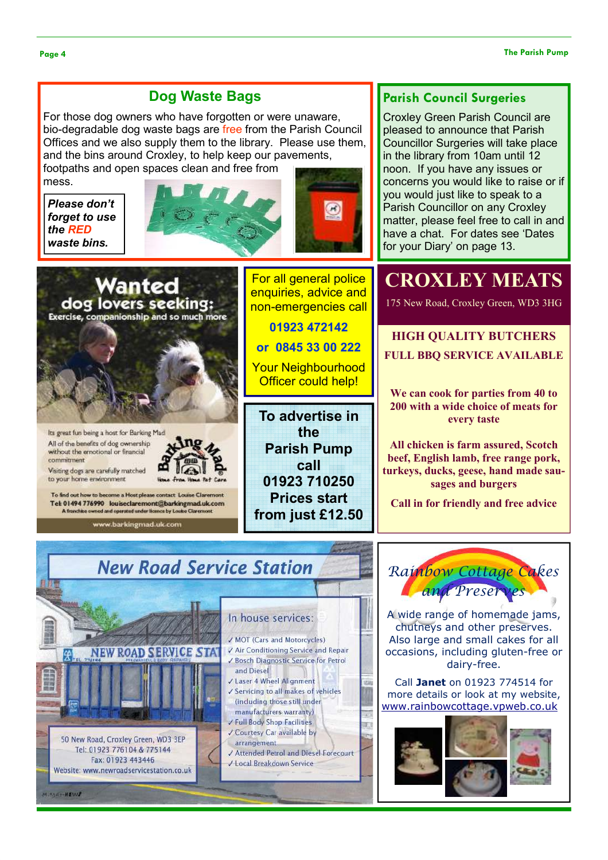### Dog Waste Bags

For those dog owners who have forgotten or were unaware, bio-degradable dog waste bags are free from the Parish Council Offices and we also supply them to the library. Please use them, and the bins around Croxley, to help keep our pavements,

footpaths and open spaces clean and free from mess.

**NEW ROAD SERVICE STA** 

50 New Road, Croxley Green, WD3 3EP

Tel: 01923 776104 & 775144

Fax: 01923 443446

Website: www.newroadservicestation.co.uk

**MIXORETHEMA** 

Please don't forget to use the RED waste bins.





### Parish Council Surgeries

Croxley Green Parish Council are pleased to announce that Parish Councillor Surgeries will take place in the library from 10am until 12 noon. If you have any issues or concerns you would like to raise or if you would just like to speak to a Parish Councillor on any Croxley matter, please feel free to call in and have a chat. For dates see 'Dates for your Diary' on page 13.



**/ MOT (Cars and Motorcycles)** √ Air Conditioning Service and Repair

√ Laser 4 Wheel Alignment √ Servicing to all makes of vehicles (including those still under manufacturers warranty) Full Body Shop Facilities Courtesy Car available by

√ Local Breakdown Service

and Diesel

arrangement

Bosch Diagnostic Service for Petrol

Attended Petrol and Diesel Forecourt

A wide range of homemade jams, chutneys and other preserves. Also large and small cakes for all occasions, including gluten-free or dairy-free.

Call Janet on 01923 774514 for more details or look at my website, www.rainbowcottage.vpweb.co.uk

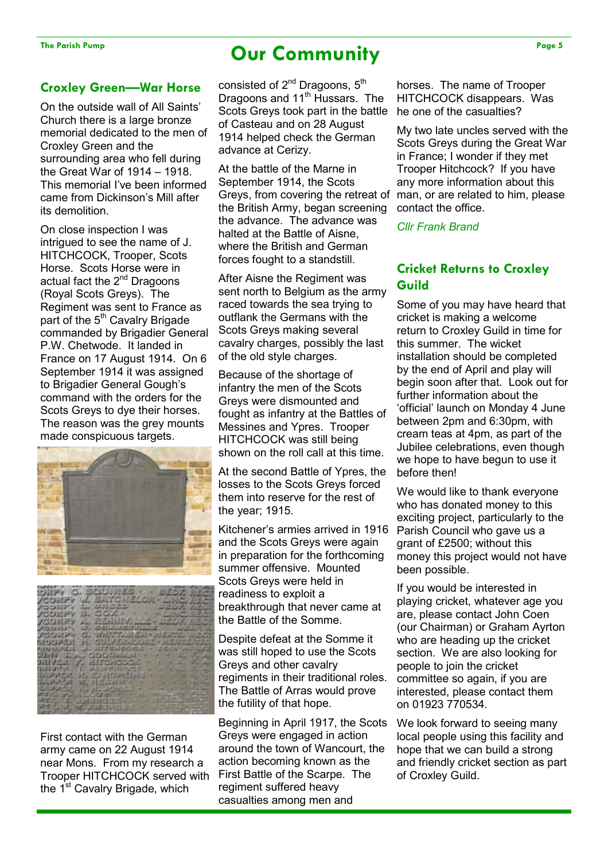### The Parish Pump Page 5 Page 5

### Croxley Green—War Horse

On the outside wall of All Saints' Church there is a large bronze memorial dedicated to the men of Croxley Green and the surrounding area who fell during the Great War of 1914 – 1918. This memorial I've been informed came from Dickinson's Mill after its demolition.

On close inspection I was intrigued to see the name of J. HITCHCOCK, Trooper, Scots Horse. Scots Horse were in actual fact the 2<sup>nd</sup> Dragoons (Royal Scots Greys). The Regiment was sent to France as part of the 5<sup>th</sup> Cavalry Brigade commanded by Brigadier General P.W. Chetwode. It landed in France on 17 August 1914. On 6 September 1914 it was assigned to Brigadier General Gough's command with the orders for the Scots Greys to dye their horses. The reason was the grey mounts made conspicuous targets.





First contact with the German army came on 22 August 1914 near Mons. From my research a Trooper HITCHCOCK served with the 1<sup>st</sup> Cavalry Brigade, which

consisted of 2<sup>nd</sup> Dragoons, 5<sup>th</sup> Dragoons and 11<sup>th</sup> Hussars. The Scots Greys took part in the battle of Casteau and on 28 August 1914 helped check the German advance at Cerizy.

At the battle of the Marne in September 1914, the Scots Greys, from covering the retreat of the British Army, began screening the advance. The advance was halted at the Battle of Aisne where the British and German forces fought to a standstill.

After Aisne the Regiment was sent north to Belgium as the army raced towards the sea trying to outflank the Germans with the Scots Greys making several cavalry charges, possibly the last of the old style charges.

Because of the shortage of infantry the men of the Scots Greys were dismounted and fought as infantry at the Battles of Messines and Ypres. Trooper HITCHCOCK was still being shown on the roll call at this time.

At the second Battle of Ypres, the losses to the Scots Greys forced them into reserve for the rest of the year; 1915.

Kitchener's armies arrived in 1916 and the Scots Greys were again in preparation for the forthcoming summer offensive. Mounted Scots Greys were held in readiness to exploit a breakthrough that never came at the Battle of the Somme.

Despite defeat at the Somme it was still hoped to use the Scots Greys and other cavalry regiments in their traditional roles. The Battle of Arras would prove the futility of that hope.

Beginning in April 1917, the Scots Greys were engaged in action around the town of Wancourt, the action becoming known as the First Battle of the Scarpe. The regiment suffered heavy casualties among men and

horses. The name of Trooper HITCHCOCK disappears. Was he one of the casualties?

My two late uncles served with the Scots Greys during the Great War in France; I wonder if they met Trooper Hitchcock? If you have any more information about this man, or are related to him, please contact the office.

Cllr Frank Brand

### Cricket Returns to Croxley Guild

Some of you may have heard that cricket is making a welcome return to Croxley Guild in time for this summer. The wicket installation should be completed by the end of April and play will begin soon after that. Look out for further information about the 'official' launch on Monday 4 June between 2pm and 6:30pm, with cream teas at 4pm, as part of the Jubilee celebrations, even though we hope to have begun to use it before then!

We would like to thank everyone who has donated money to this exciting project, particularly to the Parish Council who gave us a grant of £2500; without this money this project would not have been possible.

If you would be interested in playing cricket, whatever age you are, please contact John Coen (our Chairman) or Graham Ayrton who are heading up the cricket section. We are also looking for people to join the cricket committee so again, if you are interested, please contact them on 01923 770534.

We look forward to seeing many local people using this facility and hope that we can build a strong and friendly cricket section as part of Croxley Guild.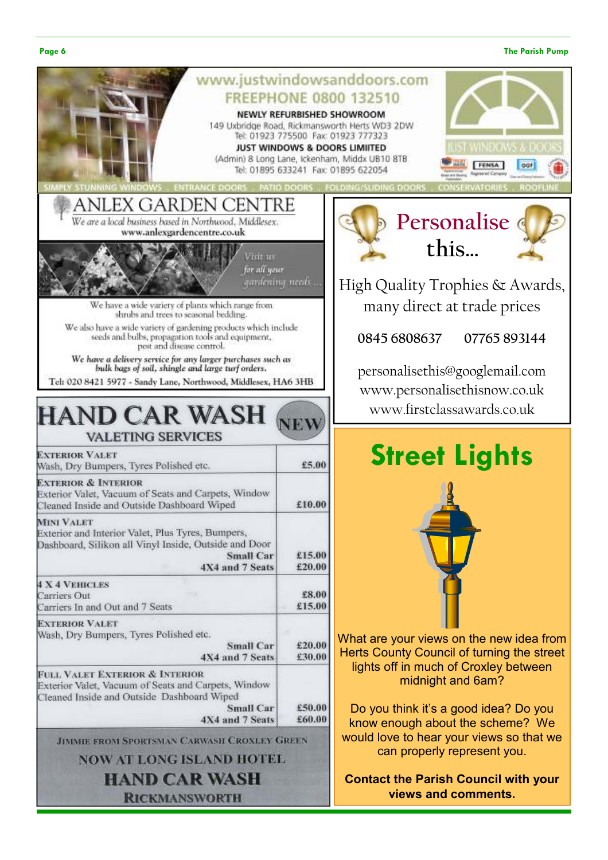#### Page 6 The Parish Pump and the Parish Pump and the Parish Pump and the Parish Pump and the Parish Pump and the Parish Pump and the Parish Pump and the Parish Pump and the Parish Pump and the Parish Pump and the Parish Pump

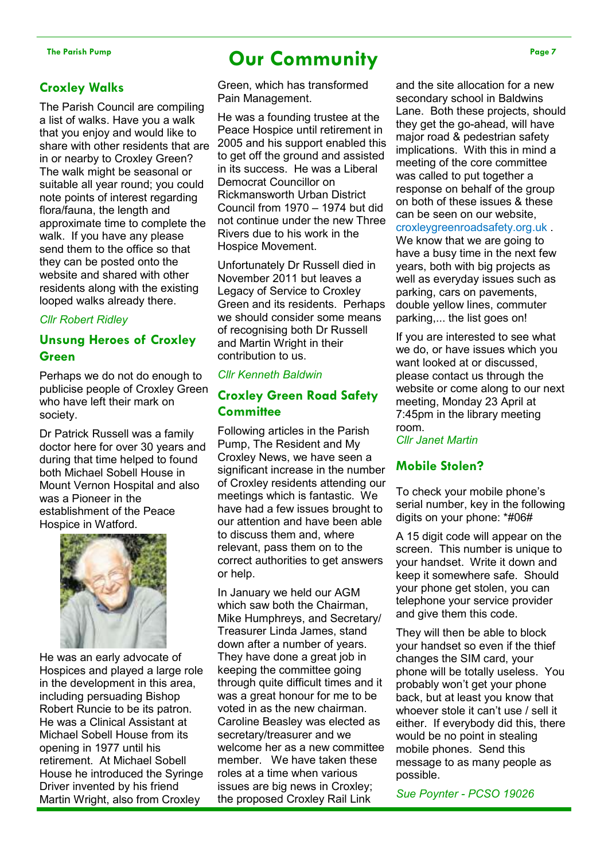### Croxley Walks

The Parish Council are compiling a list of walks. Have you a walk that you enjoy and would like to share with other residents that are in or nearby to Croxley Green? The walk might be seasonal or suitable all year round; you could note points of interest regarding flora/fauna, the length and approximate time to complete the walk. If you have any please send them to the office so that they can be posted onto the website and shared with other residents along with the existing looped walks already there.

### Cllr Robert Ridley

### Unsung Heroes of Croxley Green

Perhaps we do not do enough to publicise people of Croxley Green who have left their mark on society.

Dr Patrick Russell was a family doctor here for over 30 years and during that time helped to found both Michael Sobell House in Mount Vernon Hospital and also was a Pioneer in the establishment of the Peace Hospice in Watford.



He was an early advocate of Hospices and played a large role in the development in this area, including persuading Bishop Robert Runcie to be its patron. He was a Clinical Assistant at Michael Sobell House from its opening in 1977 until his retirement. At Michael Sobell House he introduced the Syringe Driver invented by his friend Martin Wright, also from Croxley

### The Parish Pump Page 7 Page 7

Green, which has transformed Pain Management.

He was a founding trustee at the Peace Hospice until retirement in 2005 and his support enabled this to get off the ground and assisted in its success. He was a Liberal Democrat Councillor on Rickmansworth Urban District Council from 1970 – 1974 but did not continue under the new Three Rivers due to his work in the Hospice Movement.

Unfortunately Dr Russell died in November 2011 but leaves a Legacy of Service to Croxley Green and its residents. Perhaps we should consider some means of recognising both Dr Russell and Martin Wright in their contribution to us.

### Cllr Kenneth Baldwin

### Croxley Green Road Safety **Committee**

Following articles in the Parish Pump, The Resident and My Croxley News, we have seen a significant increase in the number of Croxley residents attending our meetings which is fantastic. We have had a few issues brought to our attention and have been able to discuss them and, where relevant, pass them on to the correct authorities to get answers or help.

In January we held our AGM which saw both the Chairman, Mike Humphreys, and Secretary/ Treasurer Linda James, stand down after a number of years. They have done a great job in keeping the committee going through quite difficult times and it was a great honour for me to be voted in as the new chairman. Caroline Beasley was elected as secretary/treasurer and we welcome her as a new committee member. We have taken these roles at a time when various issues are big news in Croxley; the proposed Croxley Rail Link

and the site allocation for a new secondary school in Baldwins Lane. Both these projects, should they get the go-ahead, will have major road & pedestrian safety implications. With this in mind a meeting of the core committee was called to put together a response on behalf of the group on both of these issues & these can be seen on our website, croxleygreenroadsafety.org.uk .

We know that we are going to have a busy time in the next few years, both with big projects as well as everyday issues such as parking, cars on pavements, double yellow lines, commuter parking,... the list goes on!

If you are interested to see what we do, or have issues which you want looked at or discussed, please contact us through the website or come along to our next meeting, Monday 23 April at 7:45pm in the library meeting room.

Cllr Janet Martin

### Mobile Stolen?

To check your mobile phone's serial number, key in the following digits on your phone: \*#06#

A 15 digit code will appear on the screen. This number is unique to your handset. Write it down and keep it somewhere safe. Should your phone get stolen, you can telephone your service provider and give them this code.

They will then be able to block your handset so even if the thief changes the SIM card, your phone will be totally useless. You probably won't get your phone back, but at least you know that whoever stole it can't use / sell it either. If everybody did this, there would be no point in stealing mobile phones. Send this message to as many people as possible.

Sue Poynter - PCSO 19026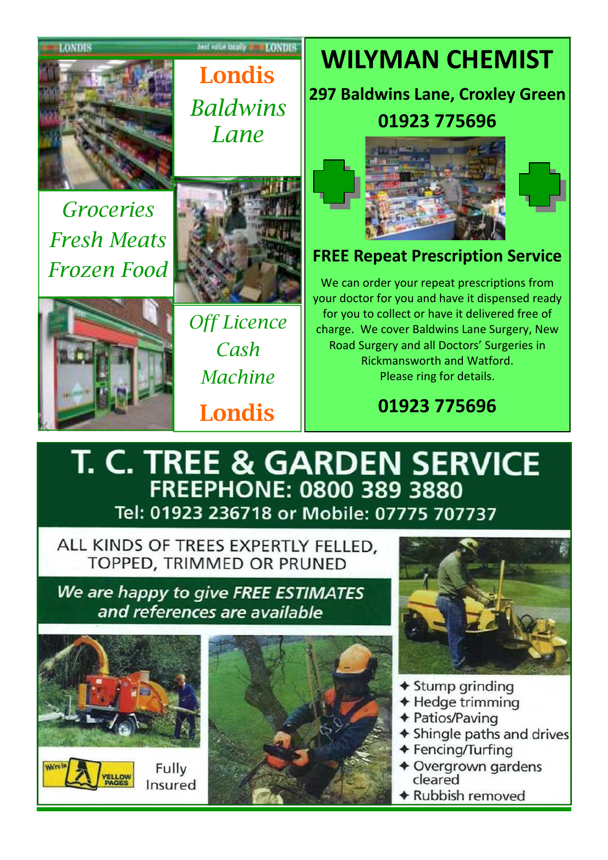LONDIN

Londis **Baldwins** Lane

next voluminosity work (ONDIS

Groceries Fresh Meats Frozen Food





Cash **Machine** Londis

# WILYMAN CHEMIST

297 Baldwins Lane, Croxley Green 01923 775696





### FREE Repeat Prescription Service

We can order your repeat prescriptions from your doctor for you and have it dispensed ready for you to collect or have it delivered free of charge. We cover Baldwins Lane Surgery, New Road Surgery and all Doctors' Surgeries in Rickmansworth and Watford. Please ring for details.

01923 775696

## T. C. TREE & GARDEN SERVICE **FREEPHONE: 0800 389 3880** Tel: 01923 236718 or Mobile: 07775 707737

ALL KINDS OF TREES EXPERTLY FELLED. TOPPED, TRIMMED OR PRUNED

We are happy to give FREE ESTIMATES and references are available



Fully

Insured





- $\triangle$  Stump grinding
- ◆ Hedge trimming
- **← Patios/Paving**
- ◆ Shingle paths and drives
- ◆ Fencing/Turfing
- ◆ Overgrown gardens cleared
- ◆ Rubbish removed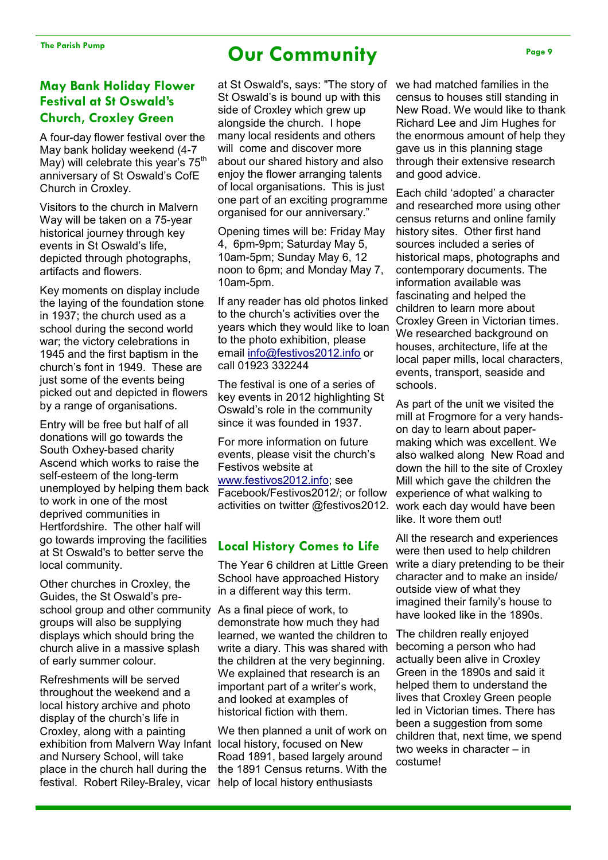### May Bank Holiday Flower Festival at St Oswald's Church, Croxley Green

A four-day flower festival over the May bank holiday weekend (4-7 May) will celebrate this year's  $75<sup>th</sup>$ anniversary of St Oswald's CofE Church in Croxley.

Visitors to the church in Malvern Way will be taken on a 75-year historical journey through key events in St Oswald's life, depicted through photographs, artifacts and flowers.

Key moments on display include the laying of the foundation stone in 1937; the church used as a school during the second world war; the victory celebrations in 1945 and the first baptism in the church's font in 1949. These are just some of the events being picked out and depicted in flowers by a range of organisations.

Entry will be free but half of all donations will go towards the South Oxhey-based charity Ascend which works to raise the self-esteem of the long-term unemployed by helping them back to work in one of the most deprived communities in Hertfordshire. The other half will go towards improving the facilities at St Oswald's to better serve the local community.

Other churches in Croxley, the Guides, the St Oswald's preschool group and other community groups will also be supplying displays which should bring the church alive in a massive splash of early summer colour.

Refreshments will be served throughout the weekend and a local history archive and photo display of the church's life in Croxley, along with a painting exhibition from Malvern Way Infant and Nursery School, will take place in the church hall during the festival. Robert Riley-Braley, vicar help of local history enthusiasts

### The Parish Pump **Our Community**

at St Oswald's, says: "The story of St Oswald's is bound up with this side of Croxley which grew up alongside the church. I hope many local residents and others will come and discover more about our shared history and also enjoy the flower arranging talents of local organisations. This is just one part of an exciting programme organised for our anniversary."

Opening times will be: Friday May 4, 6pm-9pm; Saturday May 5, 10am-5pm; Sunday May 6, 12 noon to 6pm; and Monday May 7, 10am-5pm.

If any reader has old photos linked to the church's activities over the years which they would like to loan to the photo exhibition, please email info@festivos2012.info or call 01923 332244

The festival is one of a series of key events in 2012 highlighting St Oswald's role in the community since it was founded in 1937.

For more information on future events, please visit the church's Festivos website at www.festivos2012.info; see Facebook/Festivos2012/; or follow activities on twitter @festivos2012.

### Local History Comes to Life

The Year 6 children at Little Green School have approached History in a different way this term.

As a final piece of work, to demonstrate how much they had learned, we wanted the children to write a diary. This was shared with the children at the very beginning. We explained that research is an important part of a writer's work, and looked at examples of historical fiction with them.

We then planned a unit of work on local history, focused on New Road 1891, based largely around the 1891 Census returns. With the we had matched families in the census to houses still standing in New Road. We would like to thank Richard Lee and Jim Hughes for the enormous amount of help they gave us in this planning stage through their extensive research and good advice.

Each child 'adopted' a character and researched more using other census returns and online family history sites. Other first hand sources included a series of historical maps, photographs and contemporary documents. The information available was fascinating and helped the children to learn more about Croxley Green in Victorian times. We researched background on houses, architecture, life at the local paper mills, local characters, events, transport, seaside and schools.

As part of the unit we visited the mill at Frogmore for a very handson day to learn about papermaking which was excellent. We also walked along New Road and down the hill to the site of Croxley Mill which gave the children the experience of what walking to work each day would have been like. It wore them out!

All the research and experiences were then used to help children write a diary pretending to be their character and to make an inside/ outside view of what they imagined their family's house to have looked like in the 1890s.

The children really enjoyed becoming a person who had actually been alive in Croxley Green in the 1890s and said it helped them to understand the lives that Croxley Green people led in Victorian times. There has been a suggestion from some children that, next time, we spend two weeks in character – in costume!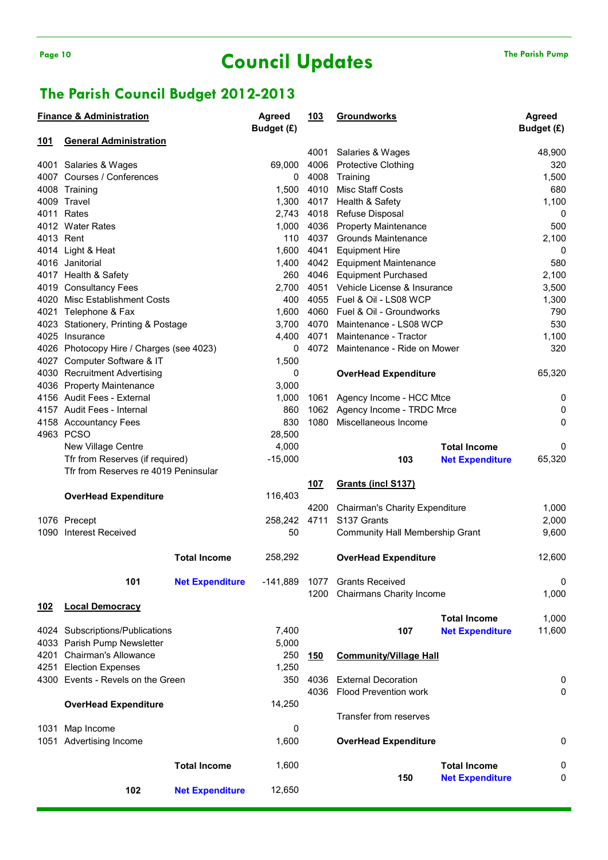## Page 10 The Parish Pump Council Updates The Parish Pump

### The Parish Council Budget 2012-2013

|             | <b>Finance &amp; Administration</b>      |                        | Agreed     | <u>103</u> | <b>Groundworks</b>                    |                        | Agreed      |
|-------------|------------------------------------------|------------------------|------------|------------|---------------------------------------|------------------------|-------------|
|             |                                          |                        | Budget (£) |            |                                       |                        | Budget (£)  |
| 101         | <b>General Administration</b>            |                        |            | 4001       | Salaries & Wages                      |                        | 48,900      |
|             | 4001 Salaries & Wages                    |                        | 69,000     | 4006       | <b>Protective Clothing</b>            |                        | 320         |
|             | 4007 Courses / Conferences               |                        | 0          | 4008       | Training                              |                        | 1,500       |
|             | 4008 Training                            |                        | 1,500      | 4010       | <b>Misc Staff Costs</b>               |                        | 680         |
|             | 4009 Travel                              |                        | 1,300      | 4017       | Health & Safety                       |                        | 1,100       |
|             | 4011 Rates                               |                        | 2,743      | 4018       | Refuse Disposal                       |                        | 0           |
|             | 4012 Water Rates                         |                        | 1,000      | 4036       | <b>Property Maintenance</b>           |                        | 500         |
| 4013 Rent   |                                          |                        | 110        | 4037       | <b>Grounds Maintenance</b>            |                        | 2,100       |
|             | 4014 Light & Heat                        |                        | 1,600      | 4041       | <b>Equipment Hire</b>                 |                        | $\mathbf 0$ |
|             | 4016 Janitorial                          |                        | 1,400      |            | 4042 Equipment Maintenance            |                        | 580         |
|             | 4017 Health & Safety                     |                        | 260        | 4046       | <b>Equipment Purchased</b>            |                        | 2,100       |
|             | 4019 Consultancy Fees                    |                        | 2,700      | 4051       | Vehicle License & Insurance           |                        | 3,500       |
|             | 4020 Misc Establishment Costs            |                        | 400        | 4055       | Fuel & Oil - LS08 WCP                 |                        | 1,300       |
|             | 4021 Telephone & Fax                     |                        | 1,600      | 4060       | Fuel & Oil - Groundworks              |                        | 790         |
|             | 4023 Stationery, Printing & Postage      |                        | 3,700      | 4070       | Maintenance - LS08 WCP                |                        | 530         |
|             | 4025 Insurance                           |                        | 4,400      | 4071       | Maintenance - Tractor                 |                        | 1,100       |
|             | 4026 Photocopy Hire / Charges (see 4023) |                        | 0          |            | 4072 Maintenance - Ride on Mower      |                        | 320         |
|             | 4027 Computer Software & IT              |                        | 1,500      |            |                                       |                        |             |
|             | 4030 Recruitment Advertising             |                        | 0          |            | <b>OverHead Expenditure</b>           |                        | 65,320      |
|             | 4036 Property Maintenance                |                        | 3,000      |            |                                       |                        |             |
|             | 4156 Audit Fees - External               |                        | 1,000      | 1061       | Agency Income - HCC Mtce              |                        | 0           |
|             | 4157 Audit Fees - Internal               |                        | 860        |            | 1062 Agency Income - TRDC Mrce        |                        | 0           |
|             | 4158 Accountancy Fees                    |                        | 830        | 1080       | Miscellaneous Income                  |                        | 0           |
|             | 4963 PCSO                                |                        | 28,500     |            |                                       |                        |             |
|             | New Village Centre                       |                        | 4,000      |            |                                       | <b>Total Income</b>    | 0           |
|             | Tfr from Reserves (if required)          |                        | $-15,000$  |            | 103                                   | <b>Net Expenditure</b> | 65,320      |
|             | Tfr from Reserves re 4019 Peninsular     |                        |            |            |                                       |                        |             |
|             |                                          |                        |            | <u>107</u> | Grants (incl S137)                    |                        |             |
|             | <b>OverHead Expenditure</b>              |                        | 116,403    |            |                                       |                        |             |
|             |                                          |                        |            | 4200       | <b>Chairman's Charity Expenditure</b> |                        | 1,000       |
|             | 1076 Precept                             |                        | 258,242    | 4711       | S137 Grants                           |                        | 2,000       |
|             | 1090 Interest Received                   |                        | 50         |            | Community Hall Membership Grant       |                        | 9,600       |
|             |                                          | <b>Total Income</b>    | 258,292    |            | <b>OverHead Expenditure</b>           |                        | 12,600      |
|             |                                          |                        |            |            |                                       |                        |             |
|             | 101                                      | <b>Net Expenditure</b> | -141,889   |            | 1077 Grants Received                  |                        | $\pmb{0}$   |
|             |                                          |                        |            | 1200       | Chairmans Charity Income              |                        | 1,000       |
| <u> 102</u> | <b>Local Democracy</b>                   |                        |            |            |                                       |                        |             |
|             |                                          |                        |            |            |                                       | <b>Total Income</b>    | 1,000       |
|             | 4024 Subscriptions/Publications          |                        | 7,400      |            | 107                                   | <b>Net Expenditure</b> | 11,600      |
|             | 4033 Parish Pump Newsletter              |                        | 5,000      |            |                                       |                        |             |
|             | 4201 Chairman's Allowance                |                        | 250        | <u>150</u> | <b>Community/Village Hall</b>         |                        |             |
|             | 4251 Election Expenses                   |                        | 1,250      |            |                                       |                        |             |
|             | 4300 Events - Revels on the Green        |                        | 350        | 4036       | <b>External Decoration</b>            |                        | 0           |
|             |                                          |                        |            | 4036       | <b>Flood Prevention work</b>          |                        | 0           |
|             | <b>OverHead Expenditure</b>              |                        | 14,250     |            |                                       |                        |             |
|             |                                          |                        |            |            | Transfer from reserves                |                        |             |
| 1031        | Map Income                               |                        | 0          |            |                                       |                        |             |
|             | 1051 Advertising Income                  |                        | 1,600      |            | <b>OverHead Expenditure</b>           |                        | 0           |
|             |                                          | <b>Total Income</b>    | 1,600      |            |                                       | <b>Total Income</b>    | 0           |
|             | 102                                      | <b>Net Expenditure</b> | 12,650     |            | 150                                   | <b>Net Expenditure</b> | 0           |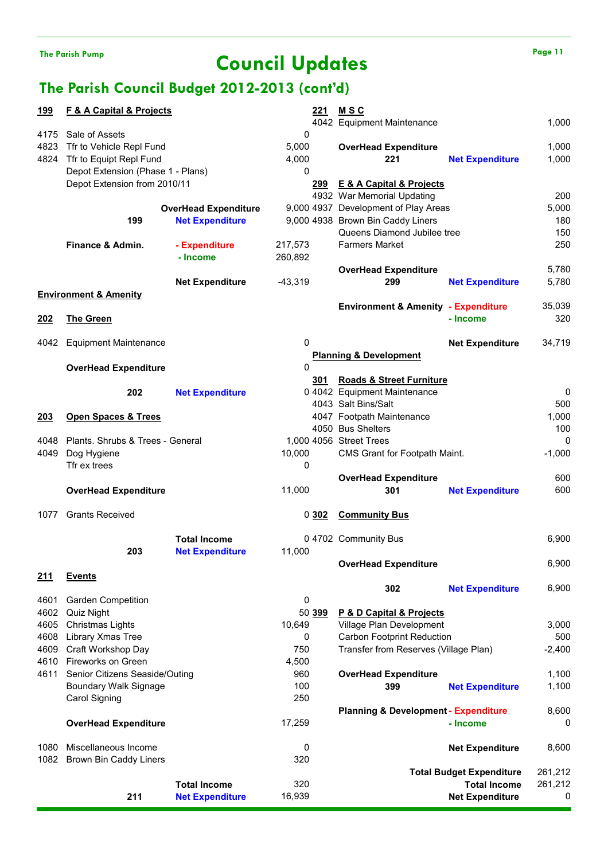# The Parish Pump Page 11

### The Parish Council Budget 2012-2013 (cont'd)

| <u>199</u> | <b>F &amp; A Capital &amp; Projects</b> |                             | <u>221</u> | <u>MSC</u>                                      |                                 |          |
|------------|-----------------------------------------|-----------------------------|------------|-------------------------------------------------|---------------------------------|----------|
|            |                                         |                             |            | 4042 Equipment Maintenance                      |                                 | 1,000    |
| 4175       | Sale of Assets                          |                             | 0          |                                                 |                                 |          |
| 4823       | Tfr to Vehicle Repl Fund                |                             | 5,000      | <b>OverHead Expenditure</b>                     |                                 | 1,000    |
| 4824       |                                         |                             |            |                                                 |                                 |          |
|            | Tfr to Equipt Repl Fund                 |                             | 4,000      | 221                                             | <b>Net Expenditure</b>          | 1,000    |
|            | Depot Extension (Phase 1 - Plans)       |                             | 0          |                                                 |                                 |          |
|            | Depot Extension from 2010/11            |                             | 299        | <b>E &amp; A Capital &amp; Projects</b>         |                                 |          |
|            |                                         |                             |            | 4932 War Memorial Updating                      |                                 | 200      |
|            |                                         | <b>OverHead Expenditure</b> |            | 9,000 4937 Development of Play Areas            |                                 | 5,000    |
|            | 199                                     | <b>Net Expenditure</b>      |            | 9,000 4938 Brown Bin Caddy Liners               |                                 | 180      |
|            |                                         |                             |            | Queens Diamond Jubilee tree                     |                                 | 150      |
|            |                                         |                             |            |                                                 |                                 |          |
|            | Finance & Admin.                        | - Expenditure               | 217,573    | <b>Farmers Market</b>                           |                                 | 250      |
|            |                                         | - Income                    | 260,892    |                                                 |                                 |          |
|            |                                         |                             |            | <b>OverHead Expenditure</b>                     |                                 | 5,780    |
|            |                                         | <b>Net Expenditure</b>      | $-43,319$  | 299                                             | <b>Net Expenditure</b>          | 5,780    |
|            | <b>Environment &amp; Amenity</b>        |                             |            |                                                 |                                 |          |
|            |                                         |                             |            | <b>Environment &amp; Amenity - Expenditure</b>  |                                 | 35,039   |
|            |                                         |                             |            |                                                 | - Income                        |          |
| <u>202</u> | <b>The Green</b>                        |                             |            |                                                 |                                 | 320      |
|            |                                         |                             |            |                                                 |                                 |          |
| 4042       | <b>Equipment Maintenance</b>            |                             | 0          |                                                 | <b>Net Expenditure</b>          | 34,719   |
|            |                                         |                             |            | <b>Planning &amp; Development</b>               |                                 |          |
|            | <b>OverHead Expenditure</b>             |                             | $\Omega$   |                                                 |                                 |          |
|            |                                         |                             | 301        | <b>Roads &amp; Street Furniture</b>             |                                 |          |
|            | 202                                     | <b>Net Expenditure</b>      |            | 0 4042 Equipment Maintenance                    |                                 | 0        |
|            |                                         |                             |            |                                                 |                                 |          |
|            |                                         |                             |            | 4043 Salt Bins/Salt                             |                                 | 500      |
| 203        | <b>Open Spaces &amp; Trees</b>          |                             |            | 4047 Footpath Maintenance                       |                                 | 1,000    |
|            |                                         |                             |            | 4050 Bus Shelters                               |                                 | 100      |
| 4048       | Plants. Shrubs & Trees - General        |                             |            | 1,000 4056 Street Trees                         |                                 | 0        |
| 4049       | Dog Hygiene                             |                             | 10,000     | CMS Grant for Footpath Maint.                   |                                 | $-1,000$ |
|            | Tfr ex trees                            |                             | 0          |                                                 |                                 |          |
|            |                                         |                             |            |                                                 |                                 | 600      |
|            |                                         |                             |            | <b>OverHead Expenditure</b>                     |                                 |          |
|            | <b>OverHead Expenditure</b>             |                             | 11,000     | 301                                             | <b>Net Expenditure</b>          | 600      |
|            |                                         |                             |            |                                                 |                                 |          |
| 1077       | <b>Grants Received</b>                  |                             | 0302       | <b>Community Bus</b>                            |                                 |          |
|            |                                         |                             |            |                                                 |                                 |          |
|            |                                         | <b>Total Income</b>         |            | 0 4702 Community Bus                            |                                 | 6,900    |
|            | 203                                     | <b>Net Expenditure</b>      | 11,000     |                                                 |                                 |          |
|            |                                         |                             |            | <b>OverHead Expenditure</b>                     |                                 | 6,900    |
|            |                                         |                             |            |                                                 |                                 |          |
| <u>211</u> | <b>Events</b>                           |                             |            |                                                 |                                 |          |
|            |                                         |                             |            | 302                                             | <b>Net Expenditure</b>          | 6,900    |
| 4601       | <b>Garden Competition</b>               |                             | 0          |                                                 |                                 |          |
| 4602       | Quiz Night                              |                             | 50 399     | P & D Capital & Projects                        |                                 |          |
| 4605       | Christmas Lights                        |                             | 10,649     | Village Plan Development                        |                                 | 3,000    |
| 4608       | Library Xmas Tree                       |                             | 0          | Carbon Footprint Reduction                      |                                 | 500      |
|            | Craft Workshop Day                      |                             |            |                                                 |                                 |          |
| 4609       |                                         |                             | 750        | Transfer from Reserves (Village Plan)           |                                 | $-2,400$ |
| 4610       | Fireworks on Green                      |                             | 4,500      |                                                 |                                 |          |
| 4611       | Senior Citizens Seaside/Outing          |                             | 960        | <b>OverHead Expenditure</b>                     |                                 | 1,100    |
|            | Boundary Walk Signage                   |                             | 100        | 399                                             | <b>Net Expenditure</b>          | 1,100    |
|            | Carol Signing                           |                             | 250        |                                                 |                                 |          |
|            |                                         |                             |            | <b>Planning &amp; Development - Expenditure</b> |                                 | 8,600    |
|            |                                         |                             |            |                                                 | - Income                        |          |
|            | <b>OverHead Expenditure</b>             |                             | 17,259     |                                                 |                                 | 0        |
|            |                                         |                             |            |                                                 |                                 |          |
| 1080       | Miscellaneous Income                    |                             | 0          |                                                 | <b>Net Expenditure</b>          | 8,600    |
| 1082       | Brown Bin Caddy Liners                  |                             | 320        |                                                 |                                 |          |
|            |                                         |                             |            |                                                 | <b>Total Budget Expenditure</b> | 261,212  |
|            |                                         | <b>Total Income</b>         | 320        |                                                 | <b>Total Income</b>             | 261,212  |
|            |                                         | <b>Net Expenditure</b>      |            |                                                 | <b>Net Expenditure</b>          | 0        |
|            | 211                                     |                             | 16,939     |                                                 |                                 |          |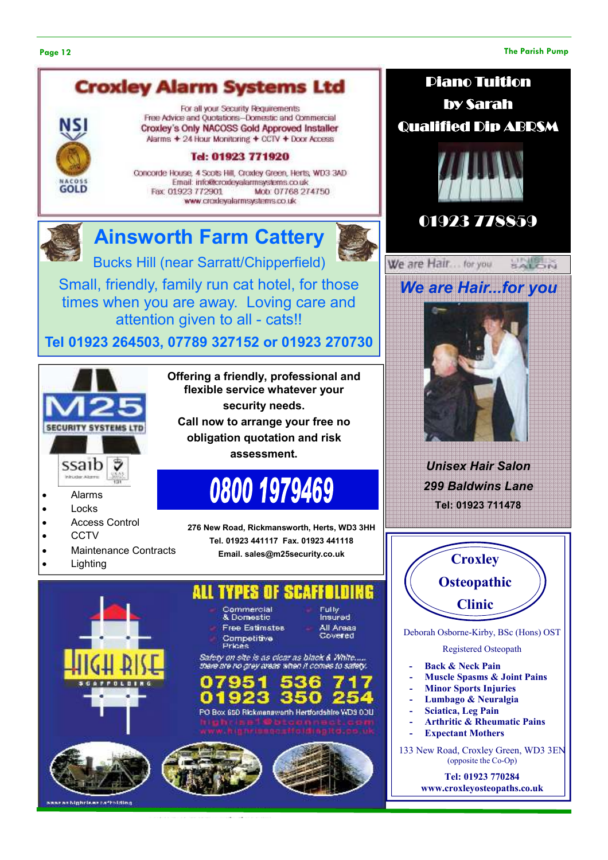#### Page 12 The Parish Pump

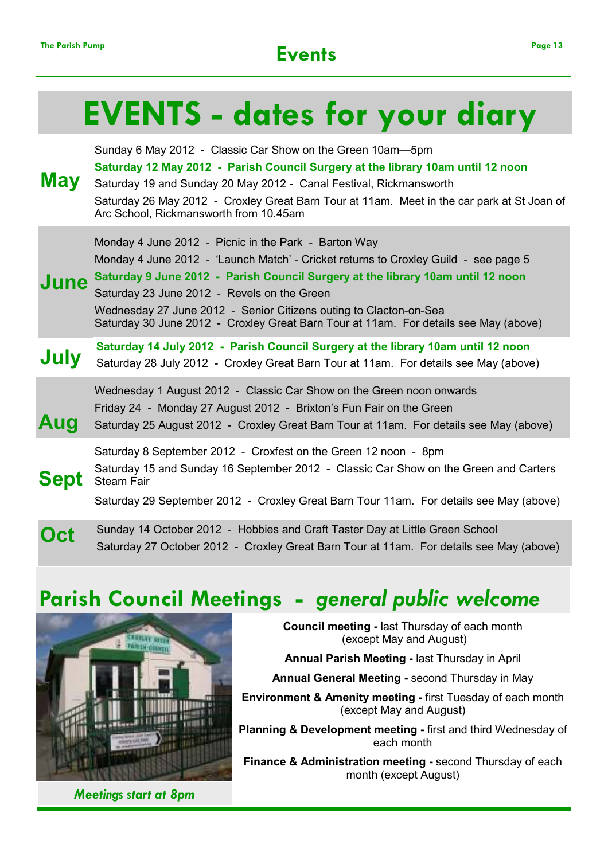# EVENTS - dates for your diary

| May         | Sunday 6 May 2012 - Classic Car Show on the Green 10am-5pm<br>Saturday 12 May 2012 - Parish Council Surgery at the library 10am until 12 noon<br>Saturday 19 and Sunday 20 May 2012 - Canal Festival, Rickmansworth<br>Saturday 26 May 2012 - Croxley Great Barn Tour at 11am. Meet in the car park at St Joan of<br>Arc School, Rickmansworth from 10.45am                                                                                |
|-------------|--------------------------------------------------------------------------------------------------------------------------------------------------------------------------------------------------------------------------------------------------------------------------------------------------------------------------------------------------------------------------------------------------------------------------------------------|
| June        | Monday 4 June 2012 - Picnic in the Park - Barton Way<br>Monday 4 June 2012 - 'Launch Match' - Cricket returns to Croxley Guild - see page 5<br>Saturday 9 June 2012 - Parish Council Surgery at the library 10am until 12 noon<br>Saturday 23 June 2012 - Revels on the Green<br>Wednesday 27 June 2012 - Senior Citizens outing to Clacton-on-Sea<br>Saturday 30 June 2012 - Croxley Great Barn Tour at 11am. For details see May (above) |
| July        | Saturday 14 July 2012 - Parish Council Surgery at the library 10am until 12 noon<br>Saturday 28 July 2012 - Croxley Great Barn Tour at 11am. For details see May (above)                                                                                                                                                                                                                                                                   |
| Aug         | Wednesday 1 August 2012 - Classic Car Show on the Green noon onwards<br>Friday 24 - Monday 27 August 2012 - Brixton's Fun Fair on the Green<br>Saturday 25 August 2012 - Croxley Great Barn Tour at 11am. For details see May (above)                                                                                                                                                                                                      |
| <b>Sept</b> | Saturday 8 September 2012 - Croxfest on the Green 12 noon - 8pm<br>Saturday 15 and Sunday 16 September 2012 - Classic Car Show on the Green and Carters<br><b>Steam Fair</b><br>Saturday 29 September 2012 - Croxley Great Barn Tour 11am. For details see May (above)                                                                                                                                                                     |
|             | Sunday 14 October 2012 - Hobbies and Craft Taster Day at Little Green School<br>Saturday 27 October 2012 - Croxley Great Barn Tour at 11am. For details see May (above)                                                                                                                                                                                                                                                                    |

## Parish Council Meetings - general public welcome



Meetings start at 8pm

Council meeting - last Thursday of each month (except May and August)

Annual Parish Meeting - last Thursday in April

Annual General Meeting - second Thursday in May

Environment & Amenity meeting - first Tuesday of each month (except May and August)

Planning & Development meeting - first and third Wednesday of each month

Finance & Administration meeting - second Thursday of each month (except August)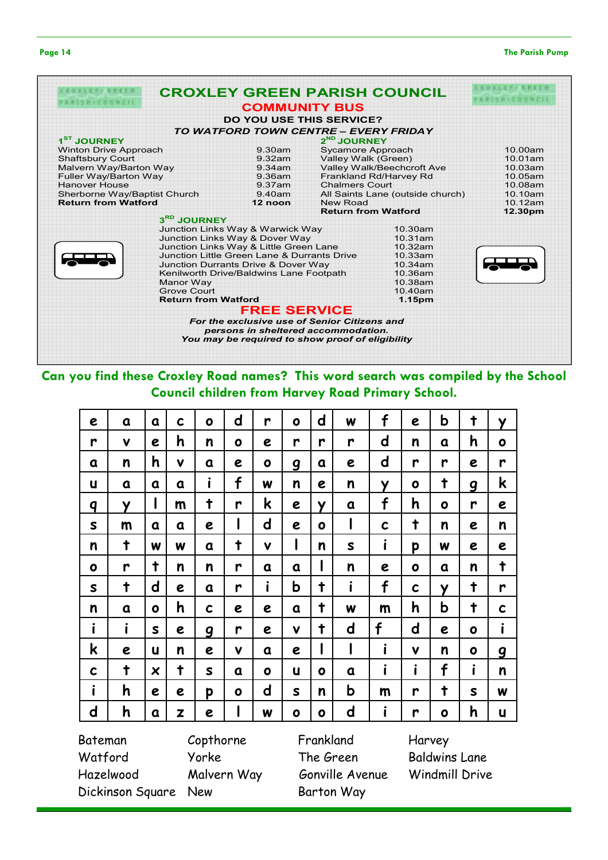#### **The Parish Pump**

| . .<br>٧<br>v. |  |  |
|----------------|--|--|
|----------------|--|--|

| .                            |                                                  | <b>CROXLEY GREEN PARISH COUNCIL</b> |                                  |         |
|------------------------------|--------------------------------------------------|-------------------------------------|----------------------------------|---------|
|                              | <b>COMMUNITY BUS</b>                             |                                     |                                  |         |
|                              | <b>DO YOU USE THIS SERVICE?</b>                  |                                     |                                  |         |
|                              | TO WATFORD TOWN CENTRE - EVERY FRIDAY            |                                     |                                  |         |
| 1 <sup>ST</sup> JOURNEY      |                                                  | 2 <sup>ND</sup> JOURNEY             |                                  |         |
| <b>Winton Drive Approach</b> | $9.30$ am                                        | Sycamore Approach                   |                                  | 10.00am |
| <b>Shaftsbury Court</b>      | 9.32am                                           | Valley Walk (Green)                 |                                  | 10.01am |
| Malvern Way/Barton Way       | 9.34am                                           |                                     | Valley Walk/Beechcroft Ave       | 10.03am |
| <b>Fuller Way/Barton Way</b> | 9.36am                                           |                                     | Frankland Rd/Harvey Rd           | 10.05am |
| Hanover House                | 9.37am                                           | <b>Chalmers Court</b>               |                                  | 10.08am |
| Sherborne Way/Baptist Church | 9.40am                                           |                                     | All Saints Lane (outside church) | 10.10am |
| <b>Return from Watford</b>   | 12 noon                                          | New Road                            |                                  | 10.12am |
|                              |                                                  | <b>Return from Watford</b>          |                                  | 12.30pm |
| 3RD JOURNEY                  |                                                  |                                     |                                  |         |
|                              | Junction Links Way & Warwick Way                 |                                     | 10.30am                          |         |
|                              | Junction Links Way & Dover Way                   |                                     | 10.31am                          |         |
|                              | Junction Links Way & Little Green Lane           |                                     | 10.32am                          |         |
|                              | Junction Little Green Lane & Durrants Drive      |                                     | 10.33am                          |         |
|                              | <b>Junction Durrants Drive &amp; Dover Way</b>   |                                     | 10.34am                          |         |
|                              | Kenilworth Drive/Baldwins Lane Footpath          |                                     | 10.36am                          |         |
| Manor Way                    |                                                  |                                     | 10.38am                          |         |
| <b>Grove Court</b>           |                                                  |                                     | 10.40am                          |         |
| <b>Return from Watford</b>   |                                                  |                                     | 1.15pm                           |         |
|                              | <b>FREE SERVICE</b>                              |                                     |                                  |         |
|                              | For the exclusive use of Senior Citizens and     |                                     |                                  |         |
|                              | persons in sheltered accommodation.              |                                     |                                  |         |
|                              | You may be required to show proof of eligibility |                                     |                                  |         |

### Can you find these Croxley Road names? This word search was compiled by the School Council children from Harvey Road Primary School.

| f<br>$\mathbf d$<br>$\mathbf d$<br>C<br>r<br>$\mathbf o$<br>W<br>e<br>a<br>a<br>$\mathbf 0$      | b<br>e                  | $\ddagger$       | Y           |
|--------------------------------------------------------------------------------------------------|-------------------------|------------------|-------------|
| h<br>d<br>V<br>r<br>r<br>n<br>r<br>r<br>e<br>$\mathbf 0$<br>e                                    | n<br>a                  | h                | $\mathbf o$ |
| $\mathbf d$<br>h<br>n<br>$\mathbf v$<br>e<br>a<br>a<br>O<br>e<br>g<br>a                          | r<br>r                  | e                | r           |
| i<br>f<br>n<br>n<br>u<br>W<br>У<br>a<br>a<br>e<br>a                                              | $\ddagger$<br>$\bullet$ | $\boldsymbol{g}$ | k           |
| f<br>k<br>$\ddagger$<br>L<br>Y<br>m<br>r<br>q<br>e<br>Y<br>a                                     | h<br>$\bullet$          | r                | e           |
| l<br>d<br>I<br>$\mathsf{s}$<br>$\mathbf c$<br>e<br>e<br>m<br>a<br>a<br>$\bullet$                 | $\ddagger$<br>n         | e                | n           |
| I<br>i<br>$\ddagger$<br>$\ddagger$<br>W<br>V<br>S<br>n<br>W<br>n<br>a                            | p<br>W                  | e                | e           |
| I<br>$\ddagger$<br>r<br>$\mathsf{n}$<br>n<br>n<br>r<br>$\bullet$<br>a<br>e<br>a                  | $\bullet$<br>a          | n                | t           |
| i<br>i<br>f<br>b<br>d<br>$\ddagger$<br>t<br>S<br>r<br>e<br>a                                     | $\mathbf c$<br>У        | $\ddagger$       | r           |
| h<br>t<br>n<br>$\mathbf c$<br>W<br>m<br>$\mathbf o$<br>a<br>a<br>e<br>e                          | h<br>b                  | $\ddagger$       | C           |
| i<br>i<br>f<br>$\mathsf{d}$<br>$\ddagger$<br>$\mathbf v$<br>S<br>e<br>r<br>$\boldsymbol{g}$<br>e | $\mathbf d$<br>e        | $\bullet$        | i           |
| i<br>I<br>k<br>$\mathbf v$<br>U<br>e<br>e<br>e<br>n<br>a                                         | $\mathbf v$<br>n        | $\bullet$        | g           |
| i<br>$\ddagger$<br>$\ddagger$<br>$\mathbf c$<br>X<br>U<br>S<br>a<br>a<br>O<br>$\mathbf o$        | i<br>f                  | i                | n           |
| i<br>b<br>h<br>$\mathbf d$<br>S<br>n<br>e<br>p<br>$\mathbf 0$<br>m<br>e                          | $\ddagger$<br>r         | $\mathsf{s}$     | W           |
| i<br>I<br>$\mathbf d$<br>$\mathbf d$<br>h<br>Z<br>W<br>$\bullet$<br>a<br>e<br>O                  | r<br>o                  | h                | U           |

Bateman Copthorne Frankland Harvey Watford Yorke The Green Baldwins Lane Hazelwood Malvern Way Gonville Avenue Windmill Drive Dickinson Square New Barton Way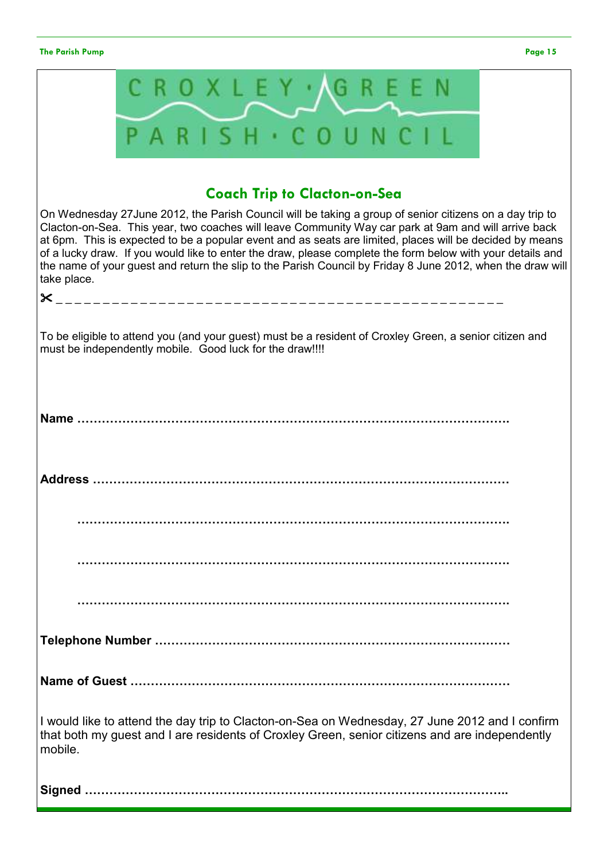### The Parish Pump Page 15

|             |                                                                                                                                                                                                                                                                                                                                                                                                                                                                                                                                                          | CROXLEY AGREEN                      |  |  |
|-------------|----------------------------------------------------------------------------------------------------------------------------------------------------------------------------------------------------------------------------------------------------------------------------------------------------------------------------------------------------------------------------------------------------------------------------------------------------------------------------------------------------------------------------------------------------------|-------------------------------------|--|--|
|             | PARISH · COUNCIL                                                                                                                                                                                                                                                                                                                                                                                                                                                                                                                                         |                                     |  |  |
|             |                                                                                                                                                                                                                                                                                                                                                                                                                                                                                                                                                          | <b>Coach Trip to Clacton-on-Sea</b> |  |  |
| take place. | On Wednesday 27 June 2012, the Parish Council will be taking a group of senior citizens on a day trip to<br>Clacton-on-Sea. This year, two coaches will leave Community Way car park at 9am and will arrive back<br>at 6pm. This is expected to be a popular event and as seats are limited, places will be decided by means<br>of a lucky draw. If you would like to enter the draw, please complete the form below with your details and<br>the name of your guest and return the slip to the Parish Council by Friday 8 June 2012, when the draw will |                                     |  |  |
|             | To be eligible to attend you (and your guest) must be a resident of Croxley Green, a senior citizen and<br>must be independently mobile. Good luck for the draw!!!!                                                                                                                                                                                                                                                                                                                                                                                      |                                     |  |  |
| Name        |                                                                                                                                                                                                                                                                                                                                                                                                                                                                                                                                                          |                                     |  |  |
| Address     |                                                                                                                                                                                                                                                                                                                                                                                                                                                                                                                                                          |                                     |  |  |
|             |                                                                                                                                                                                                                                                                                                                                                                                                                                                                                                                                                          |                                     |  |  |
|             |                                                                                                                                                                                                                                                                                                                                                                                                                                                                                                                                                          |                                     |  |  |
|             |                                                                                                                                                                                                                                                                                                                                                                                                                                                                                                                                                          |                                     |  |  |
|             |                                                                                                                                                                                                                                                                                                                                                                                                                                                                                                                                                          |                                     |  |  |
|             |                                                                                                                                                                                                                                                                                                                                                                                                                                                                                                                                                          |                                     |  |  |
| mobile.     | I would like to attend the day trip to Clacton-on-Sea on Wednesday, 27 June 2012 and I confirm<br>that both my guest and I are residents of Croxley Green, senior citizens and are independently                                                                                                                                                                                                                                                                                                                                                         |                                     |  |  |
|             |                                                                                                                                                                                                                                                                                                                                                                                                                                                                                                                                                          |                                     |  |  |